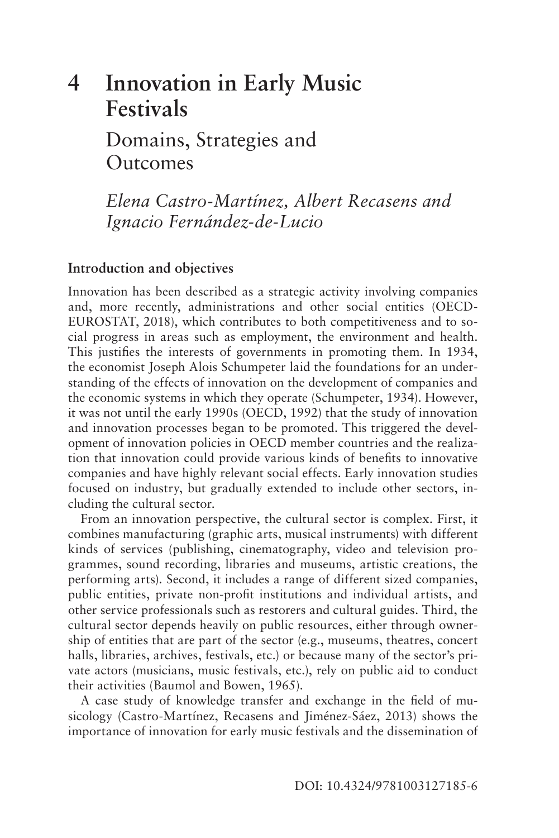## **[4 Innovation in Early Music](#page--1-0)  Festivals**  Domains, Strategies and **Outcomes**

*Elena Castro-Martínez, Albert Recasens and Ignacio Fernández-de-Lucio* 

## **Introduction and objectives**

Innovation has been described as a strategic activity involving companies and, more recently, administrations and other social entities (OECD-EUROSTAT, 2018), which contributes to both competitiveness and to social progress in areas such as employment, the environment and health. This justifes the interests of governments in promoting them. In 1934, the economist Joseph Alois Schumpeter laid the foundations for an understanding of the effects of innovation on the development of companies and the economic systems in which they operate (Schumpeter, 1934). However, it was not until the early 1990s (OECD, 1992) that the study of innovation and innovation processes began to be promoted. This triggered the development of innovation policies in OECD member countries and the realization that innovation could provide various kinds of benefts to innovative companies and have highly relevant social effects. Early innovation studies focused on industry, but gradually extended to include other sectors, including the cultural sector.

From an innovation perspective, the cultural sector is complex. First, it combines manufacturing (graphic arts, musical instruments) with different kinds of services (publishing, cinematography, video and television programmes, sound recording, libraries and museums, artistic creations, the performing arts). Second, it includes a range of different sized companies, public entities, private non-proft institutions and individual artists, and other service professionals such as restorers and cultural guides. Third, the cultural sector depends heavily on public resources, either through ownership of entities that are part of the sector (e.g., museums, theatres, concert halls, libraries, archives, festivals, etc.) or because many of the sector's private actors (musicians, music festivals, etc.), rely on public aid to conduct their activities (Baumol and Bowen, 1965).

A case study of knowledge transfer and exchange in the feld of musicology (Castro-Martínez, Recasens and Jiménez-Sáez, 2013) shows the importance of innovation for early music festivals and the dissemination of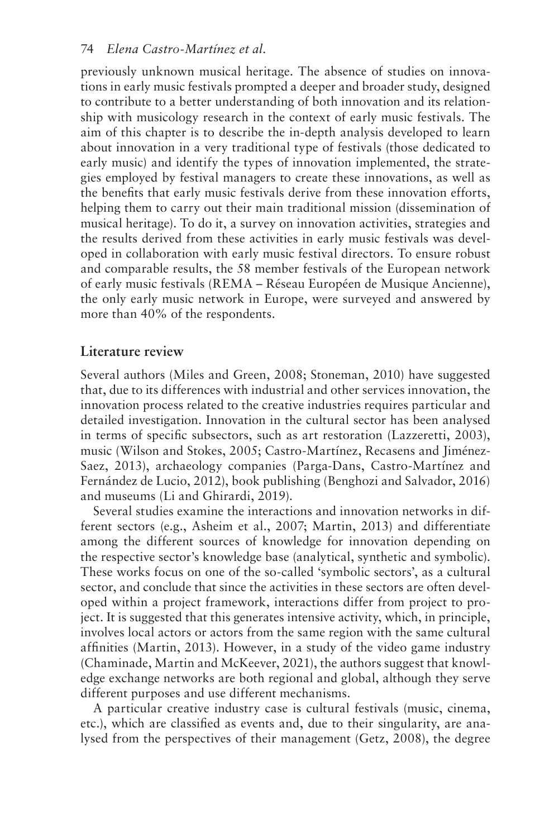### 74 *Elena Castro-Martínez et al.*

previously unknown musical heritage. The absence of studies on innovations in early music festivals prompted a deeper and broader study, designed to contribute to a better understanding of both innovation and its relationship with musicology research in the context of early music festivals. The aim of this chapter is to describe the in-depth analysis developed to learn about innovation in a very traditional type of festivals (those dedicated to early music) and identify the types of innovation implemented, the strategies employed by festival managers to create these innovations, as well as the benefts that early music festivals derive from these innovation efforts, helping them to carry out their main traditional mission (dissemination of musical heritage). To do it, a survey on innovation activities, strategies and the results derived from these activities in early music festivals was developed in collaboration with early music festival directors. To ensure robust and comparable results, the 58 member festivals of the European network of early music festivals (REMA – Réseau Européen de Musique Ancienne), the only early music network in Europe, were surveyed and answered by more than 40% of the respondents.

## **Literature review**

Several authors (Miles and Green, 2008; Stoneman, 2010) have suggested that, due to its differences with industrial and other services innovation, the innovation process related to the creative industries requires particular and detailed investigation. Innovation in the cultural sector has been analysed in terms of specifc subsectors, such as art restoration (Lazzeretti, 2003), music (Wilson and Stokes, 2005; Castro-Martínez, Recasens and Jiménez-Saez, 2013), archaeology companies (Parga-Dans, Castro-Martínez and Fernández de Lucio, 2012), book publishing (Benghozi and Salvador, 2016) and museums (Li and Ghirardi, 2019).

Several studies examine the interactions and innovation networks in different sectors (e.g., Asheim et al., 2007; Martin, 2013) and differentiate among the different sources of knowledge for innovation depending on the respective sector's knowledge base (analytical, synthetic and symbolic). These works focus on one of the so-called 'symbolic sectors', as a cultural sector, and conclude that since the activities in these sectors are often developed within a project framework, interactions differ from project to project. It is suggested that this generates intensive activity, which, in principle, involves local actors or actors from the same region with the same cultural affnities (Martin, 2013). However, in a study of the video game industry (Chaminade, Martin and McKeever, 2021), the authors suggest that knowledge exchange networks are both regional and global, although they serve different purposes and use different mechanisms.

A particular creative industry case is cultural festivals (music, cinema, etc.), which are classifed as events and, due to their singularity, are analysed from the perspectives of their management (Getz, 2008), the degree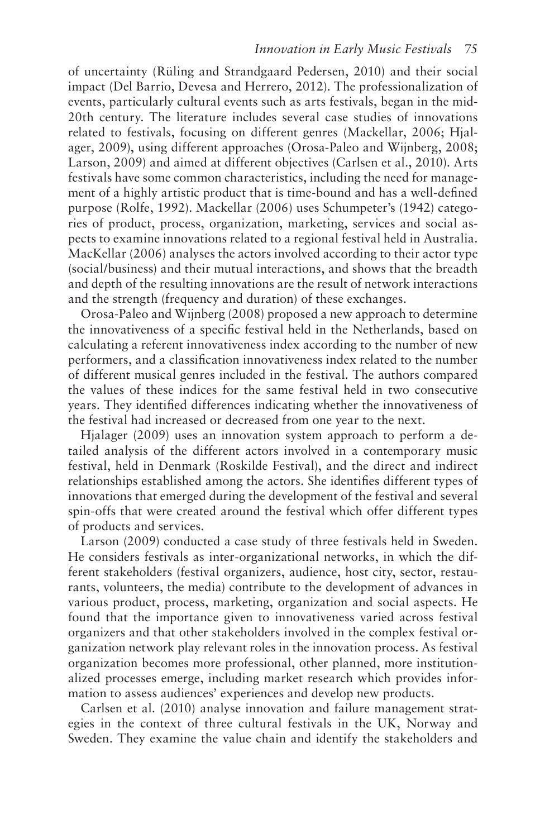of uncertainty (Rüling and Strandgaard Pedersen, 2010) and their social impact (Del Barrio, Devesa and Herrero, 2012). The professionalization of events, particularly cultural events such as arts festivals, began in the mid-20th century. The literature includes several case studies of innovations related to festivals, focusing on different genres (Mackellar, 2006; Hjalager, 2009), using different approaches (Orosa-Paleo and Wijnberg, 2008; Larson, 2009) and aimed at different objectives (Carlsen et al., 2010). Arts festivals have some common characteristics, including the need for management of a highly artistic product that is time-bound and has a well-defned purpose (Rolfe, 1992). Mackellar (2006) uses Schumpeter's (1942) categories of product, process, organization, marketing, services and social aspects to examine innovations related to a regional festival held in Australia. MacKellar (2006) analyses the actors involved according to their actor type (social/business) and their mutual interactions, and shows that the breadth and depth of the resulting innovations are the result of network interactions and the strength (frequency and duration) of these exchanges.

Orosa-Paleo and Wijnberg (2008) proposed a new approach to determine the innovativeness of a specifc festival held in the Netherlands, based on calculating a referent innovativeness index according to the number of new performers, and a classifcation innovativeness index related to the number of different musical genres included in the festival. The authors compared the values of these indices for the same festival held in two consecutive years. They identifed differences indicating whether the innovativeness of the festival had increased or decreased from one year to the next.

Hjalager (2009) uses an innovation system approach to perform a detailed analysis of the different actors involved in a contemporary music festival, held in Denmark (Roskilde Festival), and the direct and indirect relationships established among the actors. She identifes different types of innovations that emerged during the development of the festival and several spin-offs that were created around the festival which offer different types of products and services.

Larson (2009) conducted a case study of three festivals held in Sweden. He considers festivals as inter-organizational networks, in which the different stakeholders (festival organizers, audience, host city, sector, restaurants, volunteers, the media) contribute to the development of advances in various product, process, marketing, organization and social aspects. He found that the importance given to innovativeness varied across festival organizers and that other stakeholders involved in the complex festival organization network play relevant roles in the innovation process. As festival organization becomes more professional, other planned, more institutionalized processes emerge, including market research which provides information to assess audiences' experiences and develop new products.

Carlsen et al. (2010) analyse innovation and failure management strategies in the context of three cultural festivals in the UK, Norway and Sweden. They examine the value chain and identify the stakeholders and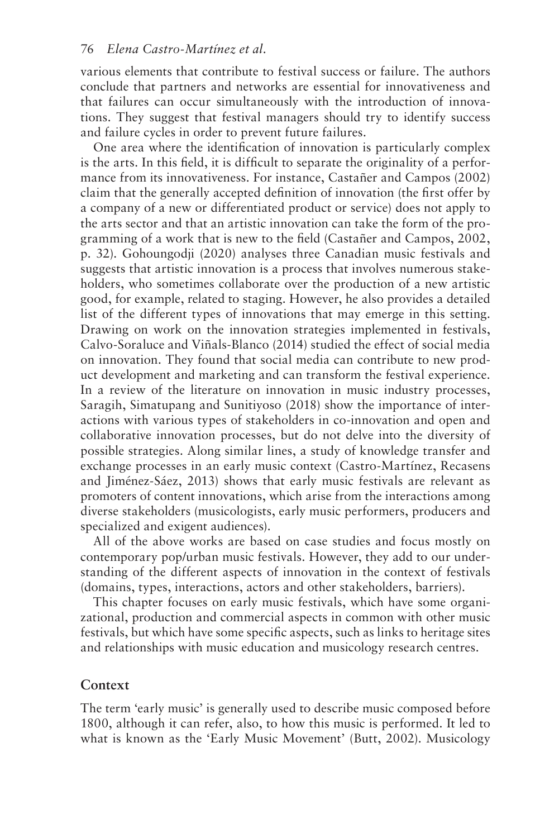various elements that contribute to festival success or failure. The authors conclude that partners and networks are essential for innovativeness and that failures can occur simultaneously with the introduction of innovations. They suggest that festival managers should try to identify success and failure cycles in order to prevent future failures.

One area where the identifcation of innovation is particularly complex is the arts. In this feld, it is diffcult to separate the originality of a performance from its innovativeness. For instance, Castañer and Campos (2002) claim that the generally accepted defnition of innovation (the frst offer by a company of a new or differentiated product or service) does not apply to the arts sector and that an artistic innovation can take the form of the programming of a work that is new to the feld (Castañer and Campos, 2002, [p. 32](#page--1-0)). Gohoungodji (2020) analyses three Canadian music festivals and suggests that artistic innovation is a process that involves numerous stakeholders, who sometimes collaborate over the production of a new artistic good, for example, related to staging. However, he also provides a detailed list of the different types of innovations that may emerge in this setting. Drawing on work on the innovation strategies implemented in festivals, Calvo-Soraluce and Viñals-Blanco (2014) studied the effect of social media on innovation. They found that social media can contribute to new product development and marketing and can transform the festival experience. In a review of the literature on innovation in music industry processes, Saragih, Simatupang and Sunitiyoso (2018) show the importance of interactions with various types of stakeholders in co-innovation and open and collaborative innovation processes, but do not delve into the diversity of possible strategies. Along similar lines, a study of knowledge transfer and exchange processes in an early music context (Castro-Martínez, Recasens and Jiménez-Sáez, 2013) shows that early music festivals are relevant as promoters of content innovations, which arise from the interactions among diverse stakeholders (musicologists, early music performers, producers and specialized and exigent audiences).

All of the above works are based on case studies and focus mostly on contemporary pop/urban music festivals. However, they add to our understanding of the different aspects of innovation in the context of festivals (domains, types, interactions, actors and other stakeholders, barriers).

This chapter focuses on early music festivals, which have some organizational, production and commercial aspects in common with other music festivals, but which have some specifc aspects, such as links to heritage sites and relationships with music education and musicology research centres.

## **Context**

The term 'early music' is generally used to describe music composed before 1800, although it can refer, also, to how this music is performed. It led to what is known as the 'Early Music Movement' (Butt, 2002). Musicology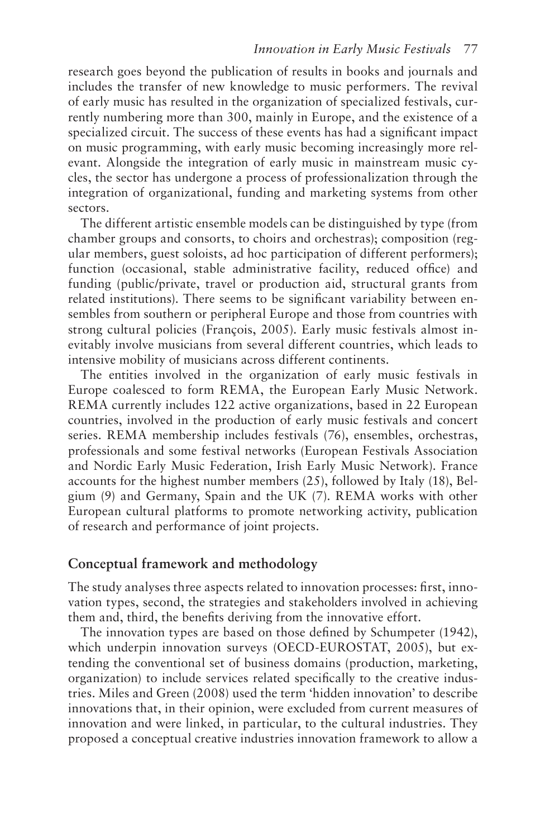research goes beyond the publication of results in books and journals and includes the transfer of new knowledge to music performers. The revival of early music has resulted in the organization of specialized festivals, currently numbering more than 300, mainly in Europe, and the existence of a specialized circuit. The success of these events has had a signifcant impact on music programming, with early music becoming increasingly more relevant. Alongside the integration of early music in mainstream music cycles, the sector has undergone a process of professionalization through the integration of organizational, funding and marketing systems from other sectors.

The different artistic ensemble models can be distinguished by type (from chamber groups and consorts, to choirs and orchestras); composition (regular members, guest soloists, ad hoc participation of different performers); function (occasional, stable administrative facility, reduced office) and funding (public/private, travel or production aid, structural grants from related institutions). There seems to be signifcant variability between ensembles from southern or peripheral Europe and those from countries with strong cultural policies (François, 2005). Early music festivals almost inevitably involve musicians from several different countries, which leads to intensive mobility of musicians across different continents.

The entities involved in the organization of early music festivals in Europe coalesced to form REMA, the European Early Music Network. REMA currently includes 122 active organizations, based in 22 European countries, involved in the production of early music festivals and concert series. REMA membership includes festivals (76), ensembles, orchestras, professionals and some festival networks (European Festivals Association and Nordic Early Music Federation, Irish Early Music Network). France accounts for the highest number members (25), followed by Italy (18), Belgium (9) and Germany, Spain and the UK (7). REMA works with other European cultural platforms to promote networking activity, publication of research and performance of joint projects.

## **Conceptual framework and methodology**

The study analyses three aspects related to innovation processes: frst, innovation types, second, the strategies and stakeholders involved in achieving them and, third, the benefts deriving from the innovative effort.

The innovation types are based on those defned by Schumpeter (1942), which underpin innovation surveys (OECD-EUROSTAT, 2005), but extending the conventional set of business domains (production, marketing, organization) to include services related specifcally to the creative industries. Miles and Green (2008) used the term 'hidden innovation' to describe innovations that, in their opinion, were excluded from current measures of innovation and were linked, in particular, to the cultural industries. They proposed a conceptual creative industries innovation framework to allow a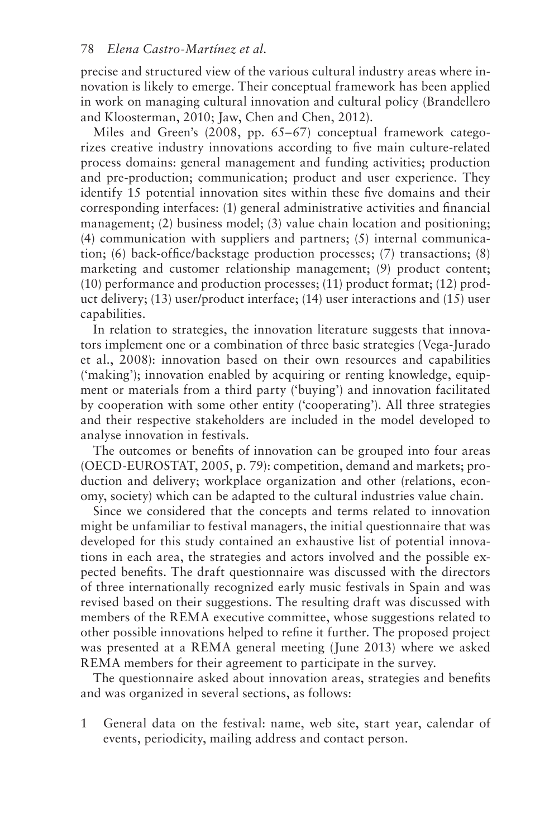precise and structured view of the various cultural industry areas where innovation is likely to emerge. Their conceptual framework has been applied in work on managing cultural innovation and cultural policy (Brandellero and Kloosterman, 2010; Jaw, Chen and Chen, 2012).

Miles and Green's (2008, p[p. 65–6](#page--1-0)7) conceptual framework categorizes creative industry innovations according to fve main culture-related process domains: general management and funding activities; production and pre-production; communication; product and user experience. They identify 15 potential innovation sites within these fve domains and their corresponding interfaces: (1) general administrative activities and fnancial management; (2) business model; (3) value chain location and positioning; (4) communication with suppliers and partners; (5) internal communication; (6) back-office/backstage production processes; (7) transactions;  $(8)$ marketing and customer relationship management; (9) product content; (10) performance and production processes; (11) product format; (12) product delivery; (13) user/product interface; (14) user interactions and (15) user capabilities.

In relation to strategies, the innovation literature suggests that innovators implement one or a combination of three basic strategies (Vega-Jurado et al., 2008): innovation based on their own resources and capabilities ('making'); innovation enabled by acquiring or renting knowledge, equipment or materials from a third party ('buying') and innovation facilitated by cooperation with some other entity ('cooperating'). All three strategies and their respective stakeholders are included in the model developed to analyse innovation in festivals.

The outcomes or benefts of innovation can be grouped into four areas (OECD-EUROSTAT, 2005, [p. 79](#page--1-0)): competition, demand and markets; production and delivery; workplace organization and other (relations, economy, society) which can be adapted to the cultural industries value chain.

Since we considered that the concepts and terms related to innovation might be unfamiliar to festival managers, the initial questionnaire that was developed for this study contained an exhaustive list of potential innovations in each area, the strategies and actors involved and the possible expected benefts. The draft questionnaire was discussed with the directors of three internationally recognized early music festivals in Spain and was revised based on their suggestions. The resulting draft was discussed with members of the REMA executive committee, whose suggestions related to other possible innovations helped to refne it further. The proposed project was presented at a REMA general meeting (June 2013) where we asked REMA members for their agreement to participate in the survey.

The questionnaire asked about innovation areas, strategies and benefts and was organized in several sections, as follows:

 1 General data on the festival: name, web site, start year, calendar of events, periodicity, mailing address and contact person.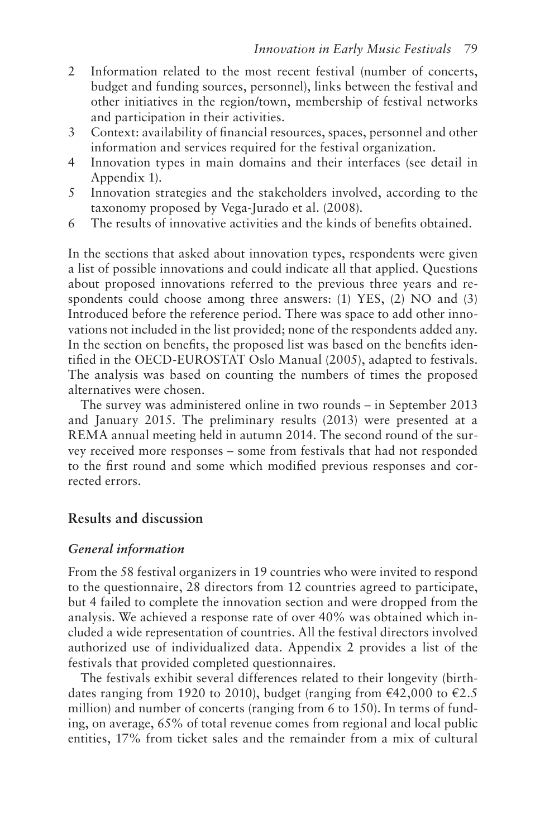- $\overline{2}$ Information related to the most recent festival (number of concerts, budget and funding sources, personnel), links between the festival and other initiatives in the region/town, membership of festival networks and participation in their activities.
- $\mathfrak{Z}$ Context: availability of financial resources, spaces, personnel and other information and services required for the festival organization.
- $\overline{4}$ Innovation types in main domains and their interfaces (see detail in Appendix 1).
- $\overline{5}$ Innovation strategies and the stakeholders involved, according to the taxonomy proposed by Vega-Jurado et al. (2008).
- 6 The results of innovative activities and the kinds of benefits obtained.

In the sections that asked about innovation types, respondents were given a list of possible innovations and could indicate all that applied. Questions about proposed innovations referred to the previous three years and respondents could choose among three answers: (1) YES, (2) NO and (3) Introduced before the reference period. There was space to add other innovations not included in the list provided; none of the respondents added any. In the section on benefts, the proposed list was based on the benefts identifed in the OECD-EUROSTAT Oslo Manual (2005), adapted to festivals. The analysis was based on counting the numbers of times the proposed alternatives were chosen.

The survey was administered online in two rounds – in September 2013 and January 2015. The preliminary results (2013) were presented at a REMA annual meeting held in autumn 2014. The second round of the survey received more responses – some from festivals that had not responded to the frst round and some which modifed previous responses and corrected errors.

## **Results and discussion**

#### *General information*

From the 58 festival organizers in 19 countries who were invited to respond to the questionnaire, 28 directors from 12 countries agreed to participate, but 4 failed to complete the innovation section and were dropped from the analysis. We achieved a response rate of over 40% was obtained which included a wide representation of countries. All the festival directors involved authorized use of individualized data. Appendix 2 provides a list of the festivals that provided completed questionnaires.

The festivals exhibit several differences related to their longevity (birthdates ranging from 1920 to 2010), budget (ranging from  $\epsilon$ 42,000 to  $\epsilon$ 2.5 million) and number of concerts (ranging from 6 to 150). In terms of funding, on average, 65% of total revenue comes from regional and local public entities, 17% from ticket sales and the remainder from a mix of cultural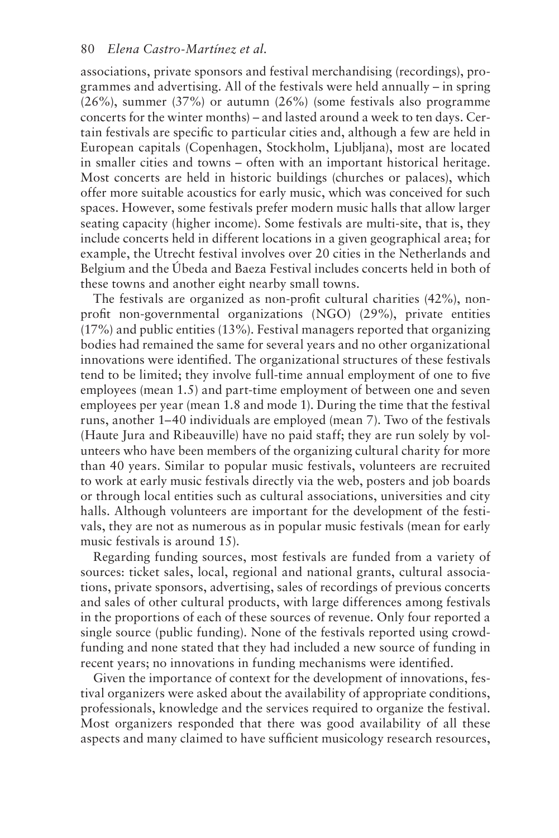associations, private sponsors and festival merchandising (recordings), programmes and advertising. All of the festivals were held annually – in spring (26%), summer (37%) or autumn (26%) (some festivals also programme concerts for the winter months) – and lasted around a week to ten days. Certain festivals are specifc to particular cities and, although a few are held in European capitals (Copenhagen, Stockholm, Ljubljana), most are located in smaller cities and towns – often with an important historical heritage. Most concerts are held in historic buildings (churches or palaces), which offer more suitable acoustics for early music, which was conceived for such spaces. However, some festivals prefer modern music halls that allow larger seating capacity (higher income). Some festivals are multi-site, that is, they include concerts held in different locations in a given geographical area; for example, the Utrecht festival involves over 20 cities in the Netherlands and Belgium and the Úbeda and Baeza Festival includes concerts held in both of these towns and another eight nearby small towns.

The festivals are organized as non-proft cultural charities (42%), nonproft non-governmental organizations (NGO) (29%), private entities (17%) and public entities (13%). Festival managers reported that organizing bodies had remained the same for several years and no other organizational innovations were identifed. The organizational structures of these festivals tend to be limited; they involve full-time annual employment of one to fve employees (mean 1.5) and part-time employment of between one and seven employees per year (mean 1.8 and mode 1). During the time that the festival runs, another 1–40 individuals are employed (mean 7). Two of the festivals (Haute Jura and Ribeauville) have no paid staff; they are run solely by volunteers who have been members of the organizing cultural charity for more than 40 years. Similar to popular music festivals, volunteers are recruited to work at early music festivals directly via the web, posters and job boards or through local entities such as cultural associations, universities and city halls. Although volunteers are important for the development of the festivals, they are not as numerous as in popular music festivals (mean for early music festivals is around 15).

Regarding funding sources, most festivals are funded from a variety of sources: ticket sales, local, regional and national grants, cultural associations, private sponsors, advertising, sales of recordings of previous concerts and sales of other cultural products, with large differences among festivals in the proportions of each of these sources of revenue. Only four reported a single source (public funding). None of the festivals reported using crowdfunding and none stated that they had included a new source of funding in recent years; no innovations in funding mechanisms were identifed.

Given the importance of context for the development of innovations, festival organizers were asked about the availability of appropriate conditions, professionals, knowledge and the services required to organize the festival. Most organizers responded that there was good availability of all these aspects and many claimed to have sufficient musicology research resources,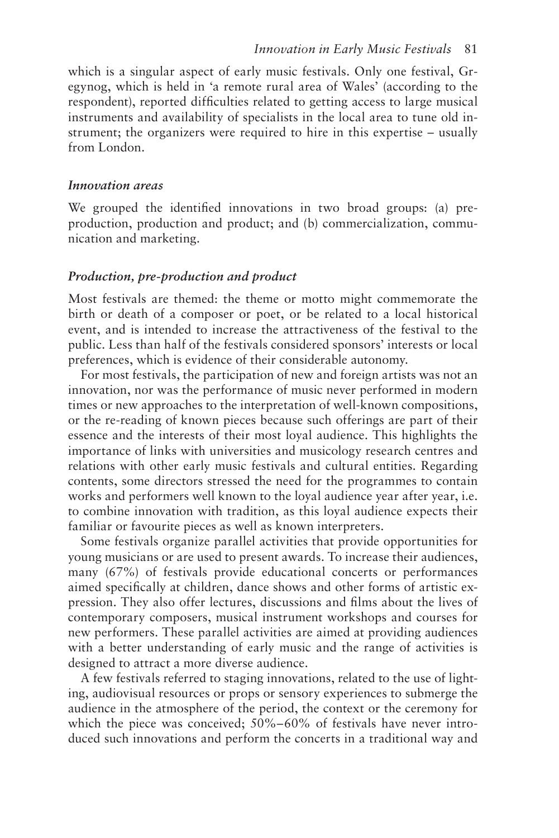which is a singular aspect of early music festivals. Only one festival, Gregynog, which is held in 'a remote rural area of Wales' (according to the respondent), reported diffculties related to getting access to large musical instruments and availability of specialists in the local area to tune old instrument; the organizers were required to hire in this expertise – usually from London.

#### *Innovation areas*

We grouped the identifed innovations in two broad groups: (a) preproduction, production and product; and (b) commercialization, communication and marketing.

#### *Production, pre-production and product*

Most festivals are themed: the theme or motto might commemorate the birth or death of a composer or poet, or be related to a local historical event, and is intended to increase the attractiveness of the festival to the public. Less than half of the festivals considered sponsors' interests or local preferences, which is evidence of their considerable autonomy.

For most festivals, the participation of new and foreign artists was not an innovation, nor was the performance of music never performed in modern times or new approaches to the interpretation of well-known compositions, or the re-reading of known pieces because such offerings are part of their essence and the interests of their most loyal audience. This highlights the importance of links with universities and musicology research centres and relations with other early music festivals and cultural entities. Regarding contents, some directors stressed the need for the programmes to contain works and performers well known to the loyal audience year after year, i.e. to combine innovation with tradition, as this loyal audience expects their familiar or favourite pieces as well as known interpreters.

Some festivals organize parallel activities that provide opportunities for young musicians or are used to present awards. To increase their audiences, many (67%) of festivals provide educational concerts or performances aimed specifcally at children, dance shows and other forms of artistic expression. They also offer lectures, discussions and flms about the lives of contemporary composers, musical instrument workshops and courses for new performers. These parallel activities are aimed at providing audiences with a better understanding of early music and the range of activities is designed to attract a more diverse audience.

A few festivals referred to staging innovations, related to the use of lighting, audiovisual resources or props or sensory experiences to submerge the audience in the atmosphere of the period, the context or the ceremony for which the piece was conceived; 50%–60% of festivals have never introduced such innovations and perform the concerts in a traditional way and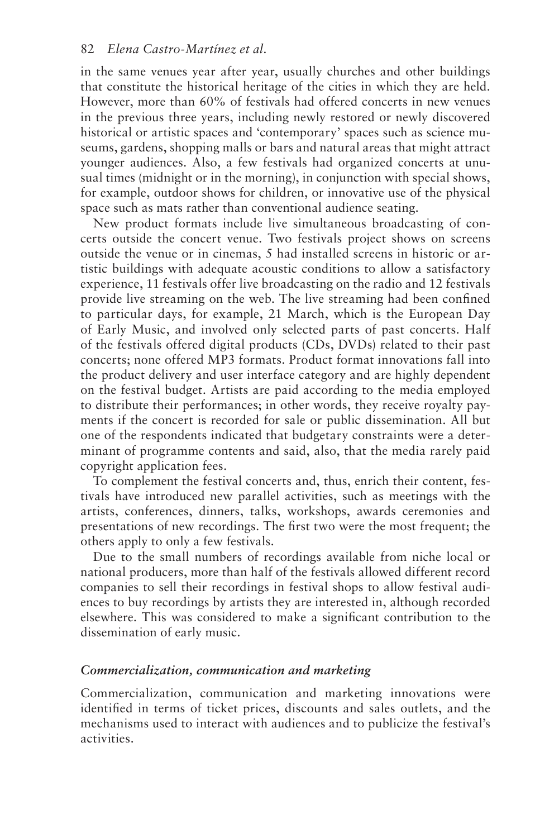in the same venues year after year, usually churches and other buildings that constitute the historical heritage of the cities in which they are held. However, more than 60% of festivals had offered concerts in new venues in the previous three years, including newly restored or newly discovered historical or artistic spaces and 'contemporary' spaces such as science museums, gardens, shopping malls or bars and natural areas that might attract younger audiences. Also, a few festivals had organized concerts at unusual times (midnight or in the morning), in conjunction with special shows, for example, outdoor shows for children, or innovative use of the physical space such as mats rather than conventional audience seating.

New product formats include live simultaneous broadcasting of concerts outside the concert venue. Two festivals project shows on screens outside the venue or in cinemas, 5 had installed screens in historic or artistic buildings with adequate acoustic conditions to allow a satisfactory experience, 11 festivals offer live broadcasting on the radio and 12 festivals provide live streaming on the web. The live streaming had been confned to particular days, for example, 21 March, which is the European Day of Early Music, and involved only selected parts of past concerts. Half of the festivals offered digital products (CDs, DVDs) related to their past concerts; none offered MP3 formats. Product format innovations fall into the product delivery and user interface category and are highly dependent on the festival budget. Artists are paid according to the media employed to distribute their performances; in other words, they receive royalty payments if the concert is recorded for sale or public dissemination. All but one of the respondents indicated that budgetary constraints were a determinant of programme contents and said, also, that the media rarely paid copyright application fees.

To complement the festival concerts and, thus, enrich their content, festivals have introduced new parallel activities, such as meetings with the artists, conferences, dinners, talks, workshops, awards ceremonies and presentations of new recordings. The frst two were the most frequent; the others apply to only a few festivals.

Due to the small numbers of recordings available from niche local or national producers, more than half of the festivals allowed different record companies to sell their recordings in festival shops to allow festival audiences to buy recordings by artists they are interested in, although recorded elsewhere. This was considered to make a signifcant contribution to the dissemination of early music.

#### *Commercialization, communication and marketing*

Commercialization, communication and marketing innovations were identifed in terms of ticket prices, discounts and sales outlets, and the mechanisms used to interact with audiences and to publicize the festival's activities.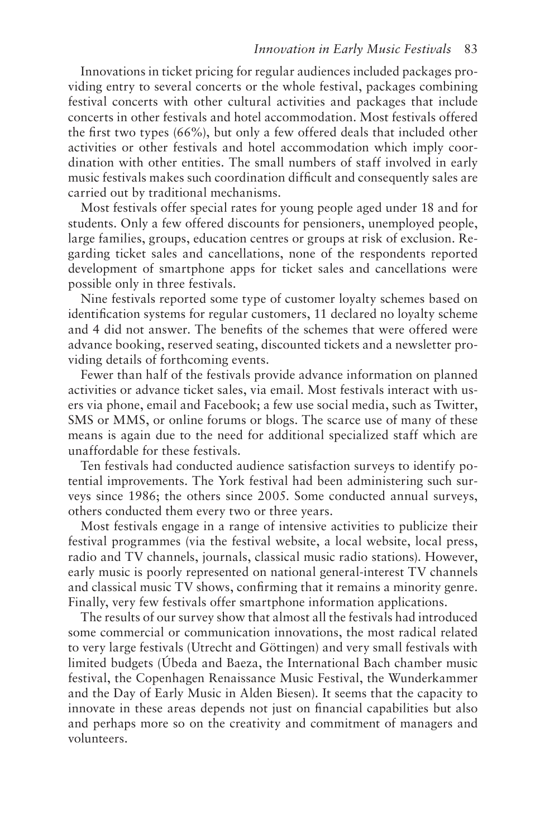Innovations in ticket pricing for regular audiences included packages providing entry to several concerts or the whole festival, packages combining festival concerts with other cultural activities and packages that include concerts in other festivals and hotel accommodation. Most festivals offered the frst two types (66%), but only a few offered deals that included other activities or other festivals and hotel accommodation which imply coordination with other entities. The small numbers of staff involved in early music festivals makes such coordination diffcult and consequently sales are carried out by traditional mechanisms.

Most festivals offer special rates for young people aged under 18 and for students. Only a few offered discounts for pensioners, unemployed people, large families, groups, education centres or groups at risk of exclusion. Regarding ticket sales and cancellations, none of the respondents reported development of smartphone apps for ticket sales and cancellations were possible only in three festivals.

Nine festivals reported some type of customer loyalty schemes based on identifcation systems for regular customers, 11 declared no loyalty scheme and 4 did not answer. The benefts of the schemes that were offered were advance booking, reserved seating, discounted tickets and a newsletter providing details of forthcoming events.

Fewer than half of the festivals provide advance information on planned activities or advance ticket sales, via email. Most festivals interact with users via phone, email and Facebook; a few use social media, such as Twitter, SMS or MMS, or online forums or blogs. The scarce use of many of these means is again due to the need for additional specialized staff which are unaffordable for these festivals.

Ten festivals had conducted audience satisfaction surveys to identify potential improvements. The York festival had been administering such surveys since 1986; the others since 2005. Some conducted annual surveys, others conducted them every two or three years.

Most festivals engage in a range of intensive activities to publicize their festival programmes (via the festival website, a local website, local press, radio and TV channels, journals, classical music radio stations). However, early music is poorly represented on national general-interest TV channels and classical music TV shows, confrming that it remains a minority genre. Finally, very few festivals offer smartphone information applications.

The results of our survey show that almost all the festivals had introduced some commercial or communication innovations, the most radical related to very large festivals (Utrecht and Göttingen) and very small festivals with limited budgets (Úbeda and Baeza, the International Bach chamber music festival, the Copenhagen Renaissance Music Festival, the Wunderkammer and the Day of Early Music in Alden Biesen). It seems that the capacity to innovate in these areas depends not just on fnancial capabilities but also and perhaps more so on the creativity and commitment of managers and volunteers.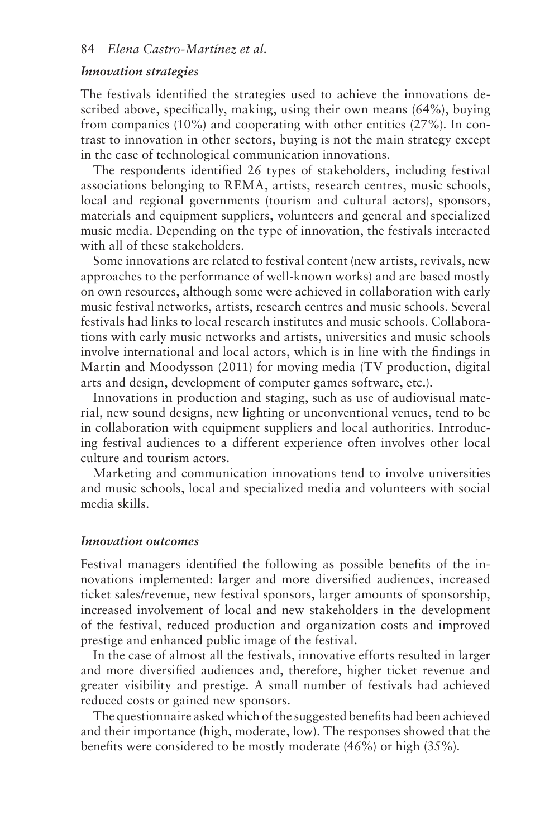#### *Innovation strategies*

The festivals identifed the strategies used to achieve the innovations described above, specifcally, making, using their own means (64%), buying from companies (10%) and cooperating with other entities (27%). In contrast to innovation in other sectors, buying is not the main strategy except in the case of technological communication innovations.

The respondents identifed 26 types of stakeholders, including festival associations belonging to REMA, artists, research centres, music schools, local and regional governments (tourism and cultural actors), sponsors, materials and equipment suppliers, volunteers and general and specialized music media. Depending on the type of innovation, the festivals interacted with all of these stakeholders.

Some innovations are related to festival content (new artists, revivals, new approaches to the performance of well-known works) and are based mostly on own resources, although some were achieved in collaboration with early music festival networks, artists, research centres and music schools. Several festivals had links to local research institutes and music schools. Collaborations with early music networks and artists, universities and music schools involve international and local actors, which is in line with the fndings in Martin and Moodysson (2011) for moving media (TV production, digital arts and design, development of computer games software, etc.).

Innovations in production and staging, such as use of audiovisual material, new sound designs, new lighting or unconventional venues, tend to be in collaboration with equipment suppliers and local authorities. Introducing festival audiences to a different experience often involves other local culture and tourism actors.

Marketing and communication innovations tend to involve universities and music schools, local and specialized media and volunteers with social media skills.

#### *Innovation outcomes*

Festival managers identifed the following as possible benefts of the innovations implemented: larger and more diversifed audiences, increased ticket sales/revenue, new festival sponsors, larger amounts of sponsorship, increased involvement of local and new stakeholders in the development of the festival, reduced production and organization costs and improved prestige and enhanced public image of the festival.

In the case of almost all the festivals, innovative efforts resulted in larger and more diversifed audiences and, therefore, higher ticket revenue and greater visibility and prestige. A small number of festivals had achieved reduced costs or gained new sponsors.

The questionnaire asked which of the suggested benefts had been achieved and their importance (high, moderate, low). The responses showed that the benefts were considered to be mostly moderate (46%) or high (35%).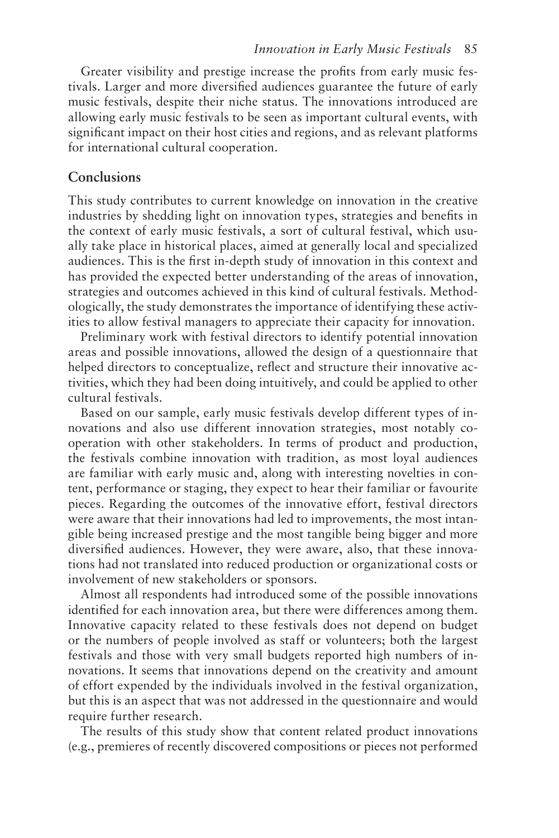Greater visibility and prestige increase the profts from early music festivals. Larger and more diversifed audiences guarantee the future of early music festivals, despite their niche status. The innovations introduced are allowing early music festivals to be seen as important cultural events, with signifcant impact on their host cities and regions, and as relevant platforms for international cultural cooperation.

## **Conclusions**

This study contributes to current knowledge on innovation in the creative industries by shedding light on innovation types, strategies and benefts in the context of early music festivals, a sort of cultural festival, which usually take place in historical places, aimed at generally local and specialized audiences. This is the frst in-depth study of innovation in this context and has provided the expected better understanding of the areas of innovation, strategies and outcomes achieved in this kind of cultural festivals. Methodologically, the study demonstrates the importance of identifying these activities to allow festival managers to appreciate their capacity for innovation.

Preliminary work with festival directors to identify potential innovation areas and possible innovations, allowed the design of a questionnaire that helped directors to conceptualize, refect and structure their innovative activities, which they had been doing intuitively, and could be applied to other cultural festivals.

Based on our sample, early music festivals develop different types of innovations and also use different innovation strategies, most notably cooperation with other stakeholders. In terms of product and production, the festivals combine innovation with tradition, as most loyal audiences are familiar with early music and, along with interesting novelties in content, performance or staging, they expect to hear their familiar or favourite pieces. Regarding the outcomes of the innovative effort, festival directors were aware that their innovations had led to improvements, the most intangible being increased prestige and the most tangible being bigger and more diversifed audiences. However, they were aware, also, that these innovations had not translated into reduced production or organizational costs or involvement of new stakeholders or sponsors.

Almost all respondents had introduced some of the possible innovations identifed for each innovation area, but there were differences among them. Innovative capacity related to these festivals does not depend on budget or the numbers of people involved as staff or volunteers; both the largest festivals and those with very small budgets reported high numbers of innovations. It seems that innovations depend on the creativity and amount of effort expended by the individuals involved in the festival organization, but this is an aspect that was not addressed in the questionnaire and would require further research.

The results of this study show that content related product innovations (e.g., premieres of recently discovered compositions or pieces not performed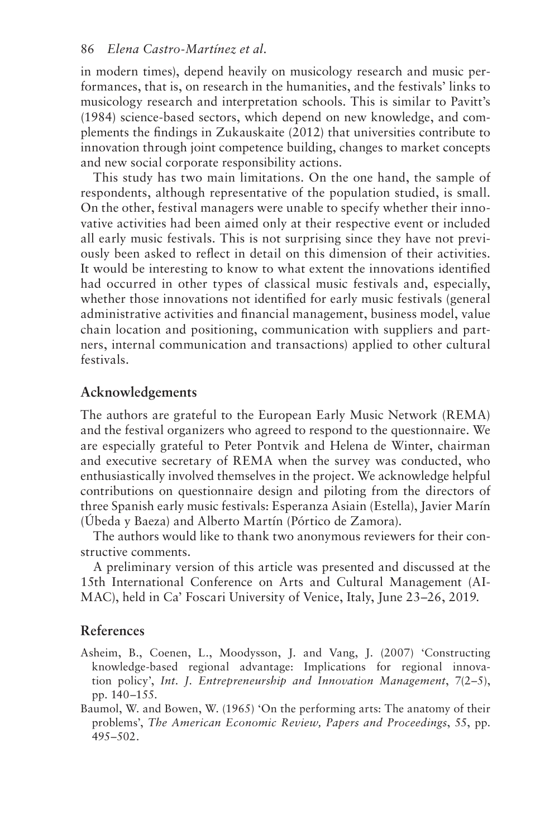#### 86 *Elena Castro-Martínez et al.*

in modern times), depend heavily on musicology research and music performances, that is, on research in the humanities, and the festivals' links to musicology research and interpretation schools. This is similar to Pavitt's (1984) science-based sectors, which depend on new knowledge, and complements the fndings in Zukauskaite (2012) that universities contribute to innovation through joint competence building, changes to market concepts and new social corporate responsibility actions.

This study has two main limitations. On the one hand, the sample of respondents, although representative of the population studied, is small. On the other, festival managers were unable to specify whether their innovative activities had been aimed only at their respective event or included all early music festivals. This is not surprising since they have not previously been asked to refect in detail on this dimension of their activities. It would be interesting to know to what extent the innovations identifed had occurred in other types of classical music festivals and, especially, whether those innovations not identifed for early music festivals (general administrative activities and fnancial management, business model, value chain location and positioning, communication with suppliers and partners, internal communication and transactions) applied to other cultural festivals.

## **Acknowledgements**

The authors are grateful to the European Early Music Network (REMA) and the festival organizers who agreed to respond to the questionnaire. We are especially grateful to Peter Pontvik and Helena de Winter, chairman and executive secretary of REMA when the survey was conducted, who enthusiastically involved themselves in the project. We acknowledge helpful contributions on questionnaire design and piloting from the directors of three Spanish early music festivals: Esperanza Asiain (Estella), Javier Marín (Úbeda y Baeza) and Alberto Martín (Pórtico de Zamora).

The authors would like to thank two anonymous reviewers for their constructive comments.

A preliminary version of this article was presented and discussed at the 15th International Conference on Arts and Cultural Management (AI-MAC), held in Ca' Foscari University of Venice, Italy, June 23–26, 2019.

#### **References**

- Asheim, B., Coenen, L., Moodysson, J. and Vang, J. (2007) 'Constructing knowledge-based regional advantage: Implications for regional innovation policy', *Int. J. Entrepreneurship and Innovation Management*, 7(2–5), [pp. 140](#page--1-0)–155.
- Baumol, W. and Bowen, W. (1965) 'On the performing arts: The anatomy of their problems', *The American Economic Review, Papers and Proceedings*, 55, pp. 495–502.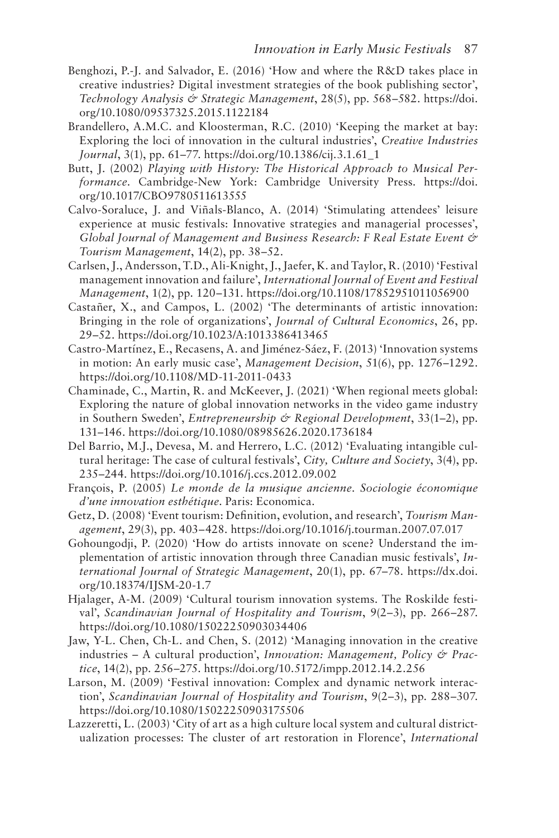- Benghozi, P.-J. and Salvador, E. (2016) 'How and where the R&D takes place in creative industries? Digital investment strategies of the book publishing sector', *Technology Analysis & Strategic Management*, 28(5), pp. 568–582. [https://doi.](https://doi.org/10.1080/09537325.2015.1122184)  [org/10.1080/09537325.2015.1122184](https://doi.org/10.1080/09537325.2015.1122184)
- Brandellero, A.M.C. and Kloosterman, R.C. (2010) 'Keeping the market at bay: Exploring the loci of innovation in the cultural industries', *Creative Industries Journal*, 3(1), pp. 61–77. [https://doi.org/10.1386/cij.3.1.61\\_1](https://doi.org/10.1386/cij.3.1.61_1)
- Butt, J. (2002) *Playing with History: The Historical Approach to Musical Performance*. Cambridge-New York: Cambridge University Press. [https://doi.](https://doi.org/10.1017/CBO9780511613555)  [org/10.1017/CBO9780511613555](https://doi.org/10.1017/CBO9780511613555)
- Calvo-Soraluce, J. and Viñals-Blanco, A. (2014) 'Stimulating attendees' leisure experience at music festivals: Innovative strategies and managerial processes', *Global Journal of Management and Business Research: F Real Estate Event & Tourism Management*, 14(2), [pp. 38](#page--1-0)–52.
- Carlsen, J., Andersson, T.D., Ali-Knight, J., Jaefer, K. and Taylor, R. (2010) 'Festival management innovation and failure', *International Journal of Event and Festival Management*, 1(2), [pp. 120](#page--1-0)–131.<https://doi.org/10.1108/17852951011056900>
- Castañer, X., and Campos, L. (2002) 'The determinants of artistic innovation: Bringing in the role of organizations', *Journal of Cultural Economics*, 26, pp. 29–52.<https://doi.org/10.1023/A:1013386413465>
- Castro-Martínez, E., Recasens, A. and Jiménez-Sáez, F. (2013) 'Innovation systems in motion: An early music case', *Management Decision*, 51(6), pp. 1276–1292. <https://doi.org/10.1108/MD-11-2011-0433>
- Chaminade, C., Martin, R. and McKeever, J. (2021) 'When regional meets global: Exploring the nature of global innovation networks in the video game industry in Southern Sweden', *Entrepreneurship* & Regional Development, 33(1–2), pp. 131–146.<https://doi.org/10.1080/08985626.2020.1736184>
- Del Barrio, M.J., Devesa, M. and Herrero, L.C. (2012) 'Evaluating intangible cultural heritage: The case of cultural festivals', *City, Culture and Society*, 3(4), pp. 235–244.<https://doi.org/10.1016/j.ccs.2012.09.002>
- François, P. (2005) *Le monde de la musique ancienne. Sociologie économique d'une innovation esthétique*. Paris: Economica.
- Getz, D. (2008) 'Event tourism: Defnition, evolution, and research', *Tourism Management*, 29(3), pp. 403–428[. https://doi.org/10.1016/j.tourman.2007.07.017](https://doi.org/10.1016/j.tourman.2007.07.017)
- Gohoungodji, P. (2020) 'How do artists innovate on scene? Understand the implementation of artistic innovation through three Canadian music festivals', *International Journal of Strategic Management*, 20(1), [pp. 67](#page--1-0)–78. [https://dx.doi.](https://dx.doi.org/10.18374/IJSM-20-1.7)  [org/10.18374/IJSM-20-1.7](https://dx.doi.org/10.18374/IJSM-20-1.7)
- Hjalager, A-M. (2009) 'Cultural tourism innovation systems. The Roskilde festival', *Scandinavian Journal of Hospitality and Tourism*, 9(2–3), [pp. 266](#page--1-0)–287. <https://doi.org/10.1080/15022250903034406>
- Jaw, Y-L. Chen, Ch-L. and Chen, S. (2012) 'Managing innovation in the creative industries – A cultural production', *Innovation: Management, Policy & Practice*, 14(2), [pp. 256](#page--1-0)–275[. https://doi.org/10.5172/impp.2012.14.2.256](https://doi.org/10.5172/impp.2012.14.2.256)
- Larson, M. (2009) 'Festival innovation: Complex and dynamic network interaction', *Scandinavian Journal of Hospitality and Tourism*, 9(2–3), pp. 288–307. <https://doi.org/10.1080/15022250903175506>
- Lazzeretti, L. (2003) 'City of art as a high culture local system and cultural districtualization processes: The cluster of art restoration in Florence', *International*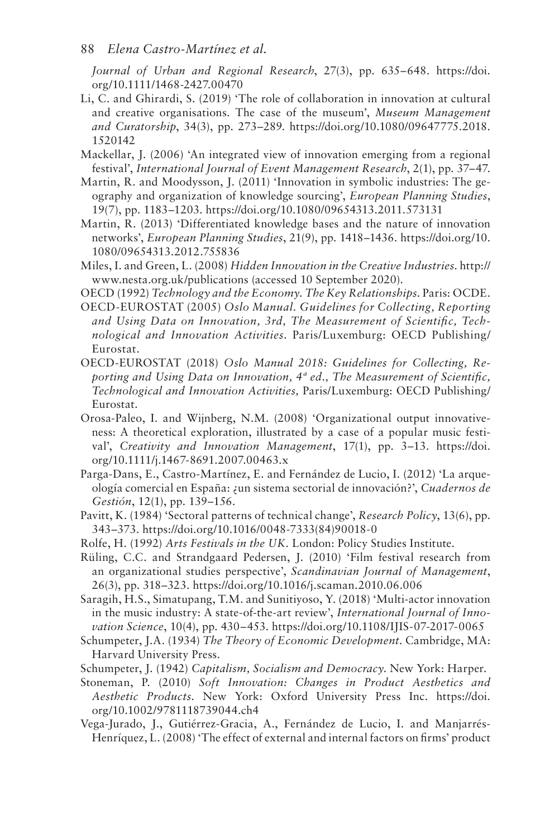#### 88 *Elena Castro-Martínez et al.*

*Journal of Urban and Regional Research*, 27(3), pp. 635–648. [https://doi.](https://doi.org/10.1111/1468-2427.00470)  [org/10.1111/1468-2427.00470](https://doi.org/10.1111/1468-2427.00470) 

- Li, C. and Ghirardi, S. (2019) 'The role of collaboration in innovation at cultural and creative organisations. The case of the museum', *Museum Management and Curatorship*, 34(3), pp. 273–289. [https://doi.org/10.1080/09647775.2018.](https://doi.org/10.1080/09647775.2018.1520142) [1520142](https://doi.org/10.1080/09647775.2018.1520142)
- Mackellar, J. (2006) 'An integrated view of innovation emerging from a regional festival', *International Journal of Event Management Research*, 2(1), [pp. 37](#page--1-0)–47.
- Martin, R. and Moodysson, J. (2011) 'Innovation in symbolic industries: The geography and organization of knowledge sourcing', *European Planning Studies*, 19(7), pp. 1183–1203[. https://doi.org/10.1080/09654313.2011.573131](https://doi.org/10.1080/09654313.2011.573131)
- Martin, R. (2013) 'Differentiated knowledge bases and the nature of innovation networks', *European Planning Studies*, 21(9), pp. 1418–1436[. https://doi.org/10.](https://doi.org/10.1080/09654313.2012.755836) [1080/09654313.2012.755836](https://doi.org/10.1080/09654313.2012.755836)
- Miles, I. and Green, L. (2008) *Hidden Innovation in the Creative Industries*. [http://](http://www.nesta.org.uk)  [www.nesta.org.uk/publications](http://www.nesta.org.uk) (accessed 10 September 2020).
- OECD (1992) *Technology and the Economy. The Key Relationships*. Paris: OCDE.
- OECD-EUROSTAT (2005) *Oslo Manual. Guidelines for Collecting, Reporting and Using Data on Innovation, 3rd, The Measurement of Scientifc, Technological and Innovation Activities*. Paris/Luxemburg: OECD Publishing/ Eurostat.
- OECD-EUROSTAT (2018) *Oslo Manual 2018: Guidelines for Collecting, Reporting and Using Data on Innovation, 4ª ed., The Measurement of Scientifc, Technological and Innovation Activities,* Paris/Luxemburg: OECD Publishing/ Eurostat.
- Orosa-Paleo, I. and Wijnberg, N.M. (2008) 'Organizational output innovativeness: A theoretical exploration, illustrated by a case of a popular music festival', *Creativity and Innovation Management*, 17(1), [pp. 3](#page--1-0)–13. [https://doi.](https://doi.org/10.1111/j.1467-8691.2007.00463.x)  [org/10.1111/j.1467-8691.2007.00463.x](https://doi.org/10.1111/j.1467-8691.2007.00463.x)
- Parga-Dans, E., Castro-Martínez, E. and Fernández de Lucio, I. (2012) 'La arqueología comercial en España: ¿un sistema sectorial de innovación?', *Cuadernos de Gestión*, 12(1), [pp. 139](#page--1-0)–156.
- Pavitt, K. (1984) 'Sectoral patterns of technical change', *Research Policy*, 13(6), pp. 343–373. [https://doi.org/10.1016/0048-7333\(84\)90018-0](https://doi.org/10.1016/0048-7333(84)90018-0)
- Rolfe, H. (1992) *Arts Festivals in the UK.* London: Policy Studies Institute.
- Rüling, C.C. and Strandgaard Pedersen, J. (2010) 'Film festival research from an organizational studies perspective', *Scandinavian Journal of Management*, 26(3), pp. 318–323[. https://doi.org/10.1016/j.scaman.2010.06.006](https://doi.org/10.1016/j.scaman.2010.06.006)

Saragih, H.S., Simatupang, T.M. and Sunitiyoso, Y. (2018) 'Multi-actor innovation in the music industry: A state-of-the-art review', *International Journal of Innovation Science*, 10(4), pp. 430–453.<https://doi.org/10.1108/IJIS-07-2017-0065>

- Schumpeter, J.A. (1934) *The Theory of Economic Development*. Cambridge, MA: Harvard University Press.
- Schumpeter, J. (1942) *Capitalism, Socialism and Democracy*. New York: Harper.
- Stoneman, P. (2010) *Soft Innovation: Changes in Product Aesthetics and Aesthetic Products*. New York: Oxford University Press Inc. [https://doi.](https://doi.org/10.1002/9781118739044.ch4) [org/10.1002/9781118739044.ch4](https://doi.org/10.1002/9781118739044.ch4)
- Vega-Jurado, J., Gutiérrez-Gracia, A., Fernández de Lucio, I. and Manjarrés-Henríquez, L. (2008) 'The effect of external and internal factors on frms' product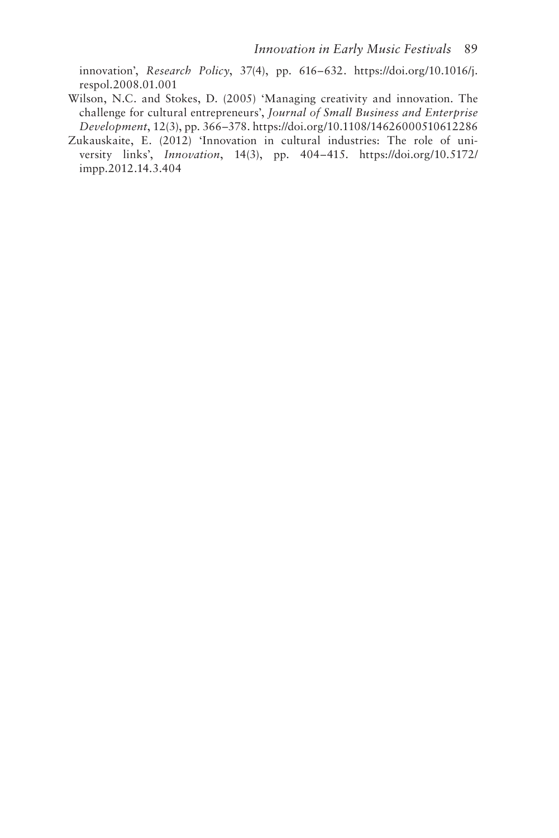innovation', *Research Policy*, 37(4), pp. 616–632. [https://doi.org/10.1016/j.](https://doi.org/10.1016/j.respol.2008.01.001) [respol.2008.01.001](https://doi.org/10.1016/j.respol.2008.01.001) 

- Wilson, N.C. and Stokes, D. (2005) 'Managing creativity and innovation. The challenge for cultural entrepreneurs', *Journal of Small Business and Enterprise Development*, 12(3), pp. 366–378[. https://doi.org/10.1108/14626000510612286](https://doi.org/10.1108/14626000510612286)
- Zukauskaite, E. (2012) 'Innovation in cultural industries: The role of university links', *Innovation*, 14(3), pp. 404–415. [https://doi.org/10.5172/](https://doi.org/10.5172/impp.2012.14.3.404)  [impp.2012.14.3.404](https://doi.org/10.5172/impp.2012.14.3.404)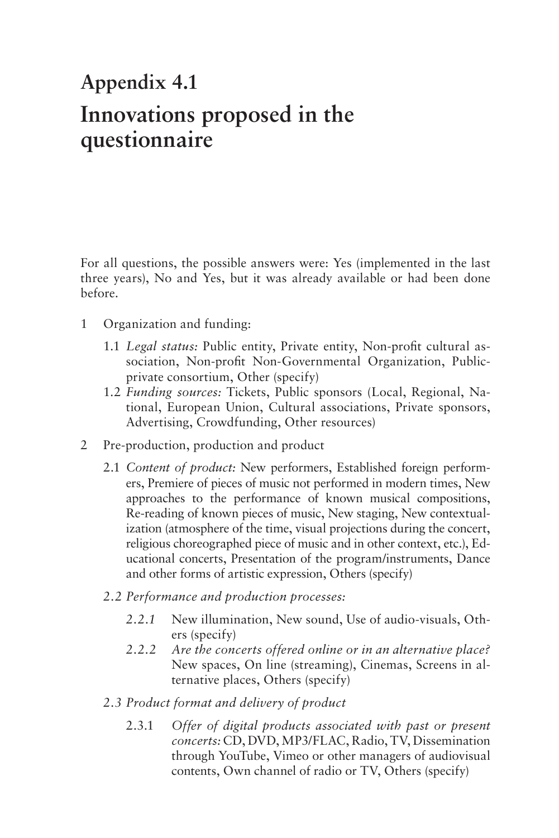## **Appendix 4.1 [Innovations proposed in the](#page--1-0)  questionnaire**

For all questions, the possible answers were: Yes (implemented in the last three years), No and Yes, but it was already available or had been done before.

- $\mathbf{1}$ Organization and funding:
	- 1.1 *Legal status:* Public entity, Private entity, Non-proft cultural association, Non-proft Non-Governmental Organization, Publicprivate consortium, Other (specify)
	- 1.2 *Funding sources:* Tickets, Public sponsors (Local, Regional, National, European Union, Cultural associations, Private sponsors, Advertising, Crowdfunding, Other resources)
- $\overline{2}$ Pre-production, production and product
	- 2.1 *Content of product:* New performers, Established foreign performers, Premiere of pieces of music not performed in modern times, New approaches to the performance of known musical compositions, Re-reading of known pieces of music, New staging, New contextualization (atmosphere of the time, visual projections during the concert, religious choreographed piece of music and in other context, etc.), Educational concerts, Presentation of the program/instruments, Dance and other forms of artistic expression, Others (specify)
	- *2.2 Performance and production processes:* 
		- *2.2.1* New illumination, New sound, Use of audio-visuals, Others (specify)
		- *2.2.2 Are the concerts offered online or in an alternative place?*  New spaces, On line (streaming), Cinemas, Screens in alternative places, Others (specify)
	- *2.3 Product format and delivery of product* 
		- 2.3.1 2.3.1 *Offer of digital products associated with past or present concerts:* CD, DVD, MP3/FLAC, Radio, TV, Dissemination through YouTube, Vimeo or other managers of audiovisual contents, Own channel of radio or TV, Others (specify)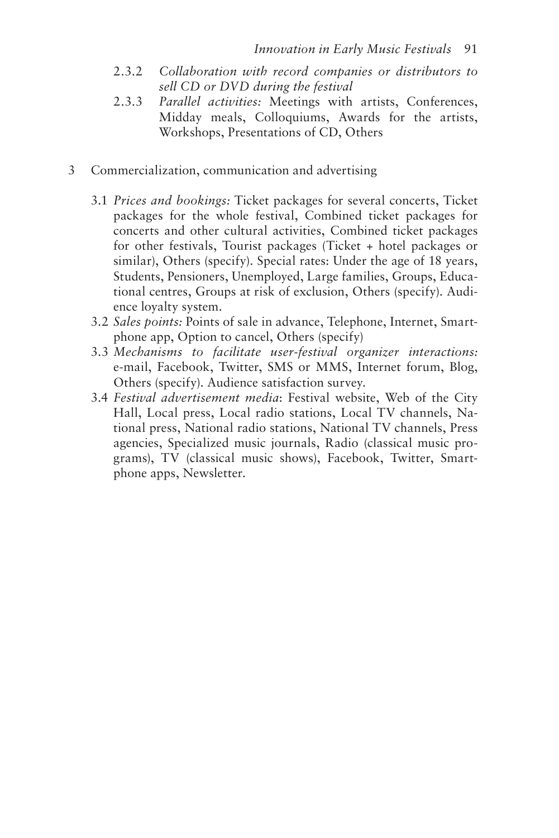- $2.3.2$ 2.3.2 *Collaboration with record companies or distributors to sell CD or DVD during the festival*
- $2.3.3$ Parallel activities: Meetings with artists, Conferences, Midday meals, Colloquiums, Awards for the artists, Workshops, Presentations of CD, Others
- $\mathfrak{Z}$ Commercialization, communication and advertising
	- 3.1 *Prices and bookings:* Ticket packages for several concerts, Ticket packages for the whole festival, Combined ticket packages for concerts and other cultural activities, Combined ticket packages for other festivals, Tourist packages (Ticket + hotel packages or similar), Others (specify). Special rates: Under the age of 18 years, Students, Pensioners, Unemployed, Large families, Groups, Educational centres, Groups at risk of exclusion, Others (specify). Audience loyalty system.
	- 3.2 *Sales points:* Points of sale in advance, Telephone, Internet, Smartphone app, Option to cancel, Others (specify)
	- 3.3 *Mechanisms to facilitate user-festival organizer interactions:*  e-mail, Facebook, Twitter, SMS or MMS, Internet forum, Blog, Others (specify). Audience satisfaction survey.
	- 3.4 *Festival advertisement media*: Festival website, Web of the City Hall, Local press, Local radio stations, Local TV channels, National press, National radio stations, National TV channels, Press agencies, Specialized music journals, Radio (classical music programs), TV (classical music shows), Facebook, Twitter, Smartphone apps, Newsletter.